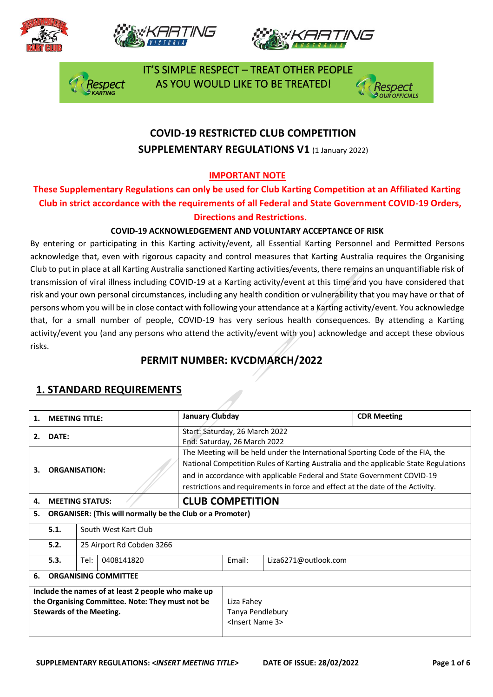







 IT'S SIMPLE RESPECT – TREAT OTHER PEOPLE AS YOU WOULD LIKE TO BE TREATED!



## **COVID-19 RESTRICTED CLUB COMPETITION SUPPLEMENTARY REGULATIONS V1 (1 January 2022)**

#### **IMPORTANT NOTE**

#### **These Supplementary Regulations can only be used for Club Karting Competition at an Affiliated Karting Club in strict accordance with the requirements of all Federal and State Government COVID-19 Orders, Directions and Restrictions.**

#### **COVID-19 ACKNOWLEDGEMENT AND VOLUNTARY ACCEPTANCE OF RISK**

By entering or participating in this Karting activity/event, all Essential Karting Personnel and Permitted Persons acknowledge that, even with rigorous capacity and control measures that Karting Australia requires the Organising Club to put in place at all Karting Australia sanctioned Karting activities/events, there remains an unquantifiable risk of transmission of viral illness including COVID-19 at a Karting activity/event at this time and you have considered that risk and your own personal circumstances, including any health condition or vulnerability that you may have or that of persons whom you will be in close contact with following your attendance at a Karting activity/event. You acknowledge that, for a small number of people, COVID-19 has very serious health consequences. By attending a Karting activity/event you (and any persons who attend the activity/event with you) acknowledge and accept these obvious risks.

### **PERMIT NUMBER: KVCDMARCH/2022**

| 1.                                                                                                                                        | <b>MEETING TITLE:</b>             |                                                                  | January Clubday                                                                                                                                                                                                                                                                                                                     |        |                      | <b>CDR Meeting</b> |
|-------------------------------------------------------------------------------------------------------------------------------------------|-----------------------------------|------------------------------------------------------------------|-------------------------------------------------------------------------------------------------------------------------------------------------------------------------------------------------------------------------------------------------------------------------------------------------------------------------------------|--------|----------------------|--------------------|
| 2.                                                                                                                                        | DATE:                             |                                                                  | Start: Saturday, 26 March 2022<br>End: Saturday, 26 March 2022                                                                                                                                                                                                                                                                      |        |                      |                    |
| 3.                                                                                                                                        |                                   | <b>ORGANISATION:</b>                                             | The Meeting will be held under the International Sporting Code of the FIA, the<br>National Competition Rules of Karting Australia and the applicable State Regulations<br>and in accordance with applicable Federal and State Government COVID-19<br>restrictions and requirements in force and effect at the date of the Activity. |        |                      |                    |
| 4.                                                                                                                                        |                                   | <b>MEETING STATUS:</b>                                           | <b>CLUB COMPETITION</b>                                                                                                                                                                                                                                                                                                             |        |                      |                    |
| 5.                                                                                                                                        |                                   | <b>ORGANISER: (This will normally be the Club or a Promoter)</b> |                                                                                                                                                                                                                                                                                                                                     |        |                      |                    |
|                                                                                                                                           | 5.1.                              | South West Kart Club                                             |                                                                                                                                                                                                                                                                                                                                     |        |                      |                    |
|                                                                                                                                           | 5.2.<br>25 Airport Rd Cobden 3266 |                                                                  |                                                                                                                                                                                                                                                                                                                                     |        |                      |                    |
|                                                                                                                                           | Tel:<br>5.3.<br>0408141820        |                                                                  |                                                                                                                                                                                                                                                                                                                                     | Email: | Liza6271@outlook.com |                    |
| 6.                                                                                                                                        | <b>ORGANISING COMMITTEE</b>       |                                                                  |                                                                                                                                                                                                                                                                                                                                     |        |                      |                    |
| Include the names of at least 2 people who make up<br>the Organising Committee. Note: They must not be<br><b>Stewards of the Meeting.</b> |                                   |                                                                  | Liza Fahey<br>Tanya Pendlebury<br><lnsert 3="" name=""></lnsert>                                                                                                                                                                                                                                                                    |        |                      |                    |

#### **1. STANDARD REQUIREMENTS**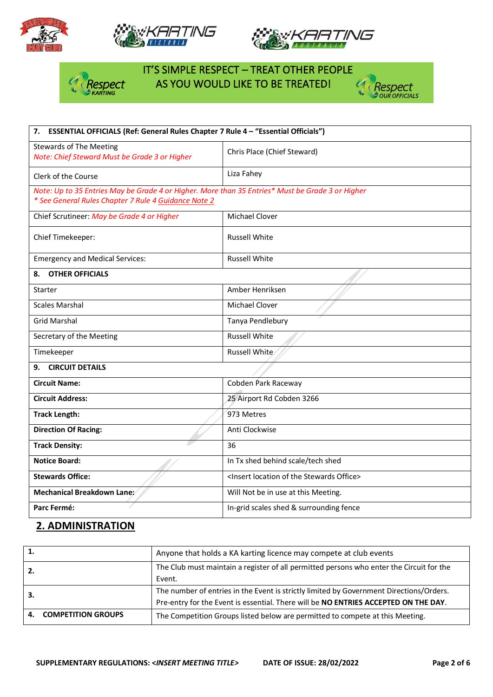







# IT'S SIMPLE RESPECT – TREAT OTHER PEOPLE **Asspect** AS YOU WOULD LIKE TO BE TREATED!



| 7. ESSENTIAL OFFICIALS (Ref: General Rules Chapter 7 Rule 4 - "Essential Officials")                                                                     |                                                                  |  |  |
|----------------------------------------------------------------------------------------------------------------------------------------------------------|------------------------------------------------------------------|--|--|
| <b>Stewards of The Meeting</b><br>Note: Chief Steward Must be Grade 3 or Higher                                                                          | Chris Place (Chief Steward)                                      |  |  |
| Clerk of the Course                                                                                                                                      | Liza Fahey                                                       |  |  |
| Note: Up to 35 Entries May be Grade 4 or Higher. More than 35 Entries* Must be Grade 3 or Higher<br>* See General Rules Chapter 7 Rule 4 Guidance Note 2 |                                                                  |  |  |
| Chief Scrutineer: May be Grade 4 or Higher                                                                                                               | <b>Michael Clover</b>                                            |  |  |
| Chief Timekeeper:                                                                                                                                        | <b>Russell White</b>                                             |  |  |
| <b>Emergency and Medical Services:</b>                                                                                                                   | <b>Russell White</b>                                             |  |  |
| <b>OTHER OFFICIALS</b><br>8.                                                                                                                             |                                                                  |  |  |
| Starter                                                                                                                                                  | Amber Henriksen                                                  |  |  |
| <b>Scales Marshal</b>                                                                                                                                    | Michael Clover                                                   |  |  |
| <b>Grid Marshal</b>                                                                                                                                      | Tanya Pendlebury                                                 |  |  |
| Secretary of the Meeting                                                                                                                                 | <b>Russell White</b>                                             |  |  |
| Timekeeper                                                                                                                                               | Russell White                                                    |  |  |
| <b>CIRCUIT DETAILS</b><br>9.                                                                                                                             |                                                                  |  |  |
| <b>Circuit Name:</b>                                                                                                                                     | Cobden Park Raceway                                              |  |  |
| <b>Circuit Address:</b>                                                                                                                                  | 25 Airport Rd Cobden 3266                                        |  |  |
| <b>Track Length:</b>                                                                                                                                     | 973 Metres                                                       |  |  |
| <b>Direction Of Racing:</b>                                                                                                                              | Anti Clockwise                                                   |  |  |
| <b>Track Density:</b>                                                                                                                                    | 36                                                               |  |  |
| <b>Notice Board:</b>                                                                                                                                     | In Tx shed behind scale/tech shed                                |  |  |
| <b>Stewards Office:</b>                                                                                                                                  | <insert location="" of="" office="" stewards="" the=""></insert> |  |  |
| Mechanical Breakdown Lane:                                                                                                                               | Will Not be in use at this Meeting.                              |  |  |
| Parc Fermé:                                                                                                                                              | In-grid scales shed & surrounding fence                          |  |  |

## **2. ADMINISTRATION**

| Anyone that holds a KA karting licence may compete at club events                        |
|------------------------------------------------------------------------------------------|
| The Club must maintain a register of all permitted persons who enter the Circuit for the |
| Event.                                                                                   |
| The number of entries in the Event is strictly limited by Government Directions/Orders.  |
| Pre-entry for the Event is essential. There will be NO ENTRIES ACCEPTED ON THE DAY.      |
| The Competition Groups listed below are permitted to compete at this Meeting.            |
|                                                                                          |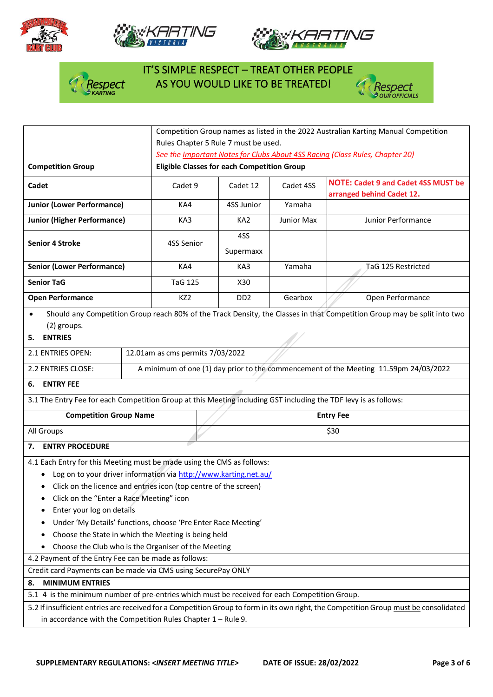







# IT'S SIMPLE RESPECT – TREAT OTHER PEOPLE  $\int_{\alpha}$  Respect AS YOU WOULD LIKE TO BE TREATED!



|                                                                                                                                       |                                                                                                                          | Competition Group names as listed in the 2022 Australian Karting Manual Competition |                             |                                                                         |                                                                                      |  |  |
|---------------------------------------------------------------------------------------------------------------------------------------|--------------------------------------------------------------------------------------------------------------------------|-------------------------------------------------------------------------------------|-----------------------------|-------------------------------------------------------------------------|--------------------------------------------------------------------------------------|--|--|
|                                                                                                                                       |                                                                                                                          | Rules Chapter 5 Rule 7 must be used.                                                |                             |                                                                         |                                                                                      |  |  |
|                                                                                                                                       |                                                                                                                          | See the Important Notes for Clubs About 4SS Racing (Class Rules, Chapter 20)        |                             |                                                                         |                                                                                      |  |  |
| <b>Competition Group</b>                                                                                                              |                                                                                                                          | <b>Eligible Classes for each Competition Group</b>                                  |                             |                                                                         |                                                                                      |  |  |
| Cadet                                                                                                                                 | Cadet 9                                                                                                                  | Cadet 12                                                                            | Cadet 4SS                   | <b>NOTE: Cadet 9 and Cadet 4SS MUST be</b><br>arranged behind Cadet 12. |                                                                                      |  |  |
| <b>Junior (Lower Performance)</b>                                                                                                     |                                                                                                                          | KA4                                                                                 | 4SS Junior                  | Yamaha                                                                  |                                                                                      |  |  |
| <b>Junior (Higher Performance)</b>                                                                                                    | KA3                                                                                                                      | KA <sub>2</sub>                                                                     | Junior Max                  | Junior Performance                                                      |                                                                                      |  |  |
| <b>Senior 4 Stroke</b>                                                                                                                | 4SS Senior                                                                                                               | 4SS<br>Supermaxx                                                                    |                             |                                                                         |                                                                                      |  |  |
| <b>Senior (Lower Performance)</b>                                                                                                     |                                                                                                                          | KA4                                                                                 | KA3                         | Yamaha                                                                  | TaG 125 Restricted                                                                   |  |  |
| <b>Senior TaG</b>                                                                                                                     |                                                                                                                          | <b>TaG 125</b>                                                                      | X30                         |                                                                         |                                                                                      |  |  |
| <b>Open Performance</b>                                                                                                               |                                                                                                                          | KZ <sub>2</sub>                                                                     | D <sub>D</sub> <sub>2</sub> | Gearbox                                                                 | Open Performance                                                                     |  |  |
| (2) groups.                                                                                                                           | Should any Competition Group reach 80% of the Track Density, the Classes in that Competition Group may be split into two |                                                                                     |                             |                                                                         |                                                                                      |  |  |
| <b>ENTRIES</b><br>5.                                                                                                                  |                                                                                                                          |                                                                                     |                             |                                                                         |                                                                                      |  |  |
| 2.1 ENTRIES OPEN:                                                                                                                     |                                                                                                                          | 12.01am as cms permits 7/03/2022                                                    |                             |                                                                         |                                                                                      |  |  |
| 2.2 ENTRIES CLOSE:                                                                                                                    |                                                                                                                          |                                                                                     |                             |                                                                         | A minimum of one (1) day prior to the commencement of the Meeting 11.59pm 24/03/2022 |  |  |
| <b>ENTRY FEE</b><br>6.                                                                                                                |                                                                                                                          |                                                                                     |                             |                                                                         |                                                                                      |  |  |
| 3.1 The Entry Fee for each Competition Group at this Meeting including GST including the TDF levy is as follows:                      |                                                                                                                          |                                                                                     |                             |                                                                         |                                                                                      |  |  |
| <b>Competition Group Name</b>                                                                                                         |                                                                                                                          | <b>Entry Fee</b>                                                                    |                             |                                                                         |                                                                                      |  |  |
| All Groups                                                                                                                            |                                                                                                                          | \$30                                                                                |                             |                                                                         |                                                                                      |  |  |
| <b>ENTRY PROCEDURE</b><br>7.                                                                                                          |                                                                                                                          |                                                                                     |                             |                                                                         |                                                                                      |  |  |
| 4.1 Each Entry for this Meeting must be made using the CMS as follows:                                                                |                                                                                                                          |                                                                                     |                             |                                                                         |                                                                                      |  |  |
|                                                                                                                                       | Log on to your driver information via http://www.karting.net.au/                                                         |                                                                                     |                             |                                                                         |                                                                                      |  |  |
|                                                                                                                                       | Click on the licence and entries icon (top centre of the screen)                                                         |                                                                                     |                             |                                                                         |                                                                                      |  |  |
| Click on the "Enter a Race Meeting" icon                                                                                              |                                                                                                                          |                                                                                     |                             |                                                                         |                                                                                      |  |  |
| Enter your log on details                                                                                                             |                                                                                                                          |                                                                                     |                             |                                                                         |                                                                                      |  |  |
| Under 'My Details' functions, choose 'Pre Enter Race Meeting'                                                                         |                                                                                                                          |                                                                                     |                             |                                                                         |                                                                                      |  |  |
| Choose the State in which the Meeting is being held                                                                                   |                                                                                                                          |                                                                                     |                             |                                                                         |                                                                                      |  |  |
| Choose the Club who is the Organiser of the Meeting                                                                                   |                                                                                                                          |                                                                                     |                             |                                                                         |                                                                                      |  |  |
| 4.2 Payment of the Entry Fee can be made as follows:                                                                                  |                                                                                                                          |                                                                                     |                             |                                                                         |                                                                                      |  |  |
| Credit card Payments can be made via CMS using SecurePay ONLY                                                                         |                                                                                                                          |                                                                                     |                             |                                                                         |                                                                                      |  |  |
| <b>MINIMUM ENTRIES</b><br>8.                                                                                                          |                                                                                                                          |                                                                                     |                             |                                                                         |                                                                                      |  |  |
| 5.1 4 is the minimum number of pre-entries which must be received for each Competition Group.                                         |                                                                                                                          |                                                                                     |                             |                                                                         |                                                                                      |  |  |
| 5.2 If insufficient entries are received for a Competition Group to form in its own right, the Competition Group must be consolidated |                                                                                                                          |                                                                                     |                             |                                                                         |                                                                                      |  |  |
| in accordance with the Competition Rules Chapter $1 -$ Rule 9.                                                                        |                                                                                                                          |                                                                                     |                             |                                                                         |                                                                                      |  |  |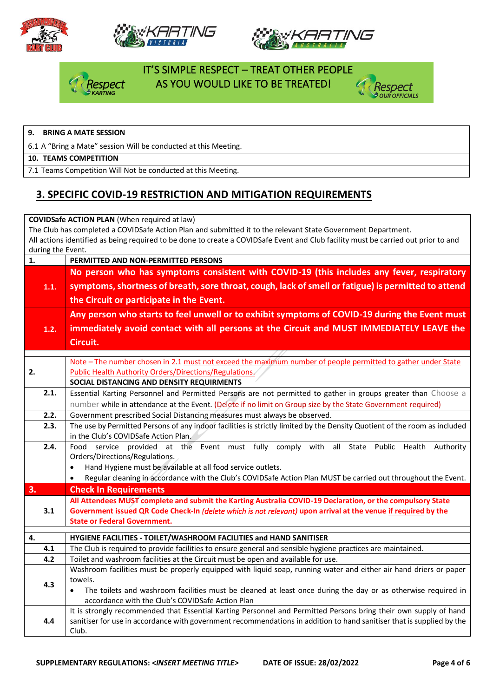







#### IT'S SIMPLE RESPECT – TREAT OTHER PEOPLE AS YOU WOULD LIKE TO BE TREATED!



#### **9. BRING A MATE SESSION**

6.1 A "Bring a Mate" session Will be conducted at this Meeting.

#### **10. TEAMS COMPETITION**

7.1 Teams Competition Will Not be conducted at this Meeting.

#### **3. SPECIFIC COVID-19 RESTRICTION AND MITIGATION REQUIREMENTS**

#### **COVIDSafe ACTION PLAN** (When required at law) The Club has completed a COVIDSafe Action Plan and submitted it to the relevant State Government Department. All actions identified as being required to be done to create a COVIDSafe Event and Club facility must be carried out prior to and during the Event. **1. PERMITTED AND NON-PERMITTED PERSONS 1.1. No person who has symptoms consistent with COVID-19 (this includes any fever, respiratory symptoms, shortness of breath, sore throat, cough, lack of smell or fatigue) is permitted to attend the Circuit or participate in the Event. 1.2. Any person who starts to feel unwell or to exhibit symptoms of COVID-19 during the Event must immediately avoid contact with all persons at the Circuit and MUST IMMEDIATELY LEAVE the Circuit. 2.** Note – The number chosen in 2.1 must not exceed the maximum number of people permitted to gather under State Public Health Authority Orders/Directions/Regulations. **SOCIAL DISTANCING AND DENSITY REQUIRMENTS**  2.1. | Essential Karting Personnel and Permitted Persons are not permitted to gather in groups greater than Choose a number while in attendance at the Event. (Delete if no limit on Group size by the State Government required) **2.2.** Government prescribed Social Distancing measures must always be observed. **2.3.** The use by Permitted Persons of any indoor facilities is strictly limited by the Density Quotient of the room as included in the Club's COVIDSafe Action Plan. **2.4.** Food service provided at the Event must fully comply with all State Public Health Authority Orders/Directions/Regulations. • Hand Hygiene must be available at all food service outlets. • Regular cleaning in accordance with the Club's COVIDSafe Action Plan MUST be carried out throughout the Event. **3. Check In Requirements 3.1 All Attendees MUST complete and submit the Karting Australia COVID-19 Declaration, or the compulsory State Government issued QR Code Check-In** *(delete which is not relevant)* **upon arrival at the venue if required by the State or Federal Government. 4. HYGIENE FACILITIES - TOILET/WASHROOM FACILITIES and HAND SANITISER 4.1** The Club is required to provide facilities to ensure general and sensible hygiene practices are maintained. **4.2** Toilet and washroom facilities at the Circuit must be open and available for use. **4.3** Washroom facilities must be properly equipped with liquid soap, running water and either air hand driers or paper towels. • The toilets and washroom facilities must be cleaned at least once during the day or as otherwise required in accordance with the Club's COVIDSafe Action Plan **4.4** It is strongly recommended that Essential Karting Personnel and Permitted Persons bring their own supply of hand sanitiser for use in accordance with government recommendations in addition to hand sanitiser that is supplied by the Club.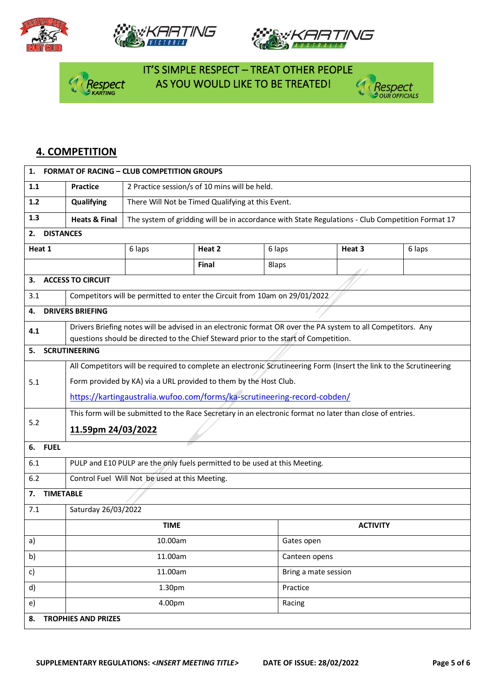







 IT'S SIMPLE RESPECT – TREAT OTHER PEOPLE **Asspect** AS YOU WOULD LIKE TO BE TREATED!



#### **4. COMPETITION**

| 1.                     | <b>FORMAT OF RACING - CLUB COMPETITION GROUPS</b>                                                                   |                                                                                                  |        |            |                                                                                                              |        |  |  |
|------------------------|---------------------------------------------------------------------------------------------------------------------|--------------------------------------------------------------------------------------------------|--------|------------|--------------------------------------------------------------------------------------------------------------|--------|--|--|
| 1.1                    | <b>Practice</b>                                                                                                     | 2 Practice session/s of 10 mins will be held.                                                    |        |            |                                                                                                              |        |  |  |
| 1.2                    | Qualifying                                                                                                          | There Will Not be Timed Qualifying at this Event.                                                |        |            |                                                                                                              |        |  |  |
| 1.3                    | <b>Heats &amp; Final</b>                                                                                            | The system of gridding will be in accordance with State Regulations - Club Competition Format 17 |        |            |                                                                                                              |        |  |  |
| <b>DISTANCES</b><br>2. |                                                                                                                     |                                                                                                  |        |            |                                                                                                              |        |  |  |
| Heat 1                 |                                                                                                                     | 6 laps                                                                                           | Heat 2 | 6 laps     | Heat 3                                                                                                       | 6 laps |  |  |
|                        |                                                                                                                     |                                                                                                  | Final  | 8laps      |                                                                                                              |        |  |  |
| З.                     | <b>ACCESS TO CIRCUIT</b>                                                                                            |                                                                                                  |        |            |                                                                                                              |        |  |  |
| 3.1                    |                                                                                                                     | Competitors will be permitted to enter the Circuit from 10am on 29/01/2022.                      |        |            |                                                                                                              |        |  |  |
| 4.                     | <b>DRIVERS BRIEFING</b>                                                                                             |                                                                                                  |        |            |                                                                                                              |        |  |  |
| 4.1                    |                                                                                                                     |                                                                                                  |        |            | Drivers Briefing notes will be advised in an electronic format OR over the PA system to all Competitors. Any |        |  |  |
| 5.                     | <b>SCRUTINEERING</b>                                                                                                | questions should be directed to the Chief Steward prior to the start of Competition.             |        |            |                                                                                                              |        |  |  |
|                        |                                                                                                                     |                                                                                                  |        |            |                                                                                                              |        |  |  |
| 5.1                    | All Competitors will be required to complete an electronic Scrutineering Form (Insert the link to the Scrutineering |                                                                                                  |        |            |                                                                                                              |        |  |  |
|                        | Form provided by KA) via a URL provided to them by the Host Club.                                                   |                                                                                                  |        |            |                                                                                                              |        |  |  |
|                        | https://kartingaustralia.wufoo.com/forms/ka-scrutineering-record-cobden/                                            |                                                                                                  |        |            |                                                                                                              |        |  |  |
| 5.2                    | This form will be submitted to the Race Secretary in an electronic format no later than close of entries.           |                                                                                                  |        |            |                                                                                                              |        |  |  |
|                        | 11.59pm 24/03/2022                                                                                                  |                                                                                                  |        |            |                                                                                                              |        |  |  |
| <b>FUEL</b><br>6.      |                                                                                                                     |                                                                                                  |        |            |                                                                                                              |        |  |  |
| 6.1                    | PULP and E10 PULP are the only fuels permitted to be used at this Meeting.                                          |                                                                                                  |        |            |                                                                                                              |        |  |  |
| 6.2                    | Control Fuel Will Not be used at this Meeting.                                                                      |                                                                                                  |        |            |                                                                                                              |        |  |  |
| 7.                     | <b>TIMETABLE</b>                                                                                                    |                                                                                                  |        |            |                                                                                                              |        |  |  |
| 7.1                    | Saturday 26/03/2022                                                                                                 |                                                                                                  |        |            |                                                                                                              |        |  |  |
|                        |                                                                                                                     | <b>TIME</b>                                                                                      |        |            | <b>ACTIVITY</b>                                                                                              |        |  |  |
| a)                     |                                                                                                                     | 10.00am                                                                                          |        | Gates open |                                                                                                              |        |  |  |
| b)                     |                                                                                                                     | 11.00am                                                                                          |        |            | Canteen opens                                                                                                |        |  |  |
| c)                     |                                                                                                                     | 11.00am                                                                                          |        |            | Bring a mate session                                                                                         |        |  |  |
| d)                     |                                                                                                                     | 1.30pm                                                                                           |        |            | Practice                                                                                                     |        |  |  |
| e)                     |                                                                                                                     | 4.00pm                                                                                           |        | Racing     |                                                                                                              |        |  |  |
| 8.                     | <b>TROPHIES AND PRIZES</b>                                                                                          |                                                                                                  |        |            |                                                                                                              |        |  |  |
|                        |                                                                                                                     |                                                                                                  |        |            |                                                                                                              |        |  |  |